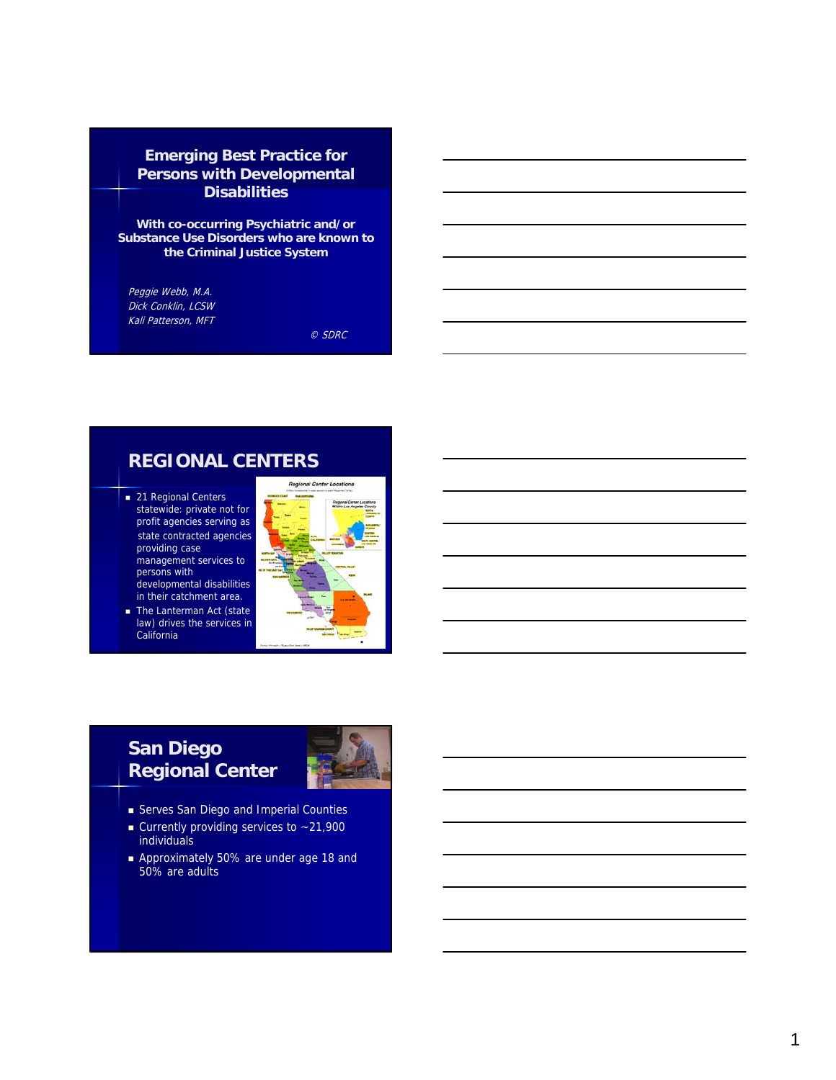#### **Emerging Best Practice for Persons with Developmental Disabilities**

**With co-occurring Psychiatric and/or Substance Use Disorders who are known to the Criminal Justice System**

Peggie Webb, M.A. Dick Conklin, LCSW Kali Patterson, MFT

© SDRC

#### **REGIONAL CENTERS**

- 21 Regional Centers statewide: private not for profit agencies serving as state contracted agencies providing case management services to persons with developmental disabilities in their catchment area.
- The Lanterman Act (state law) drives the services in California



## **San Diego Regional Center**



- Serves San Diego and Imperial Counties
- Currently providing services to  $~21,900$ individuals
- Approximately 50% are under age 18 and 50% are adults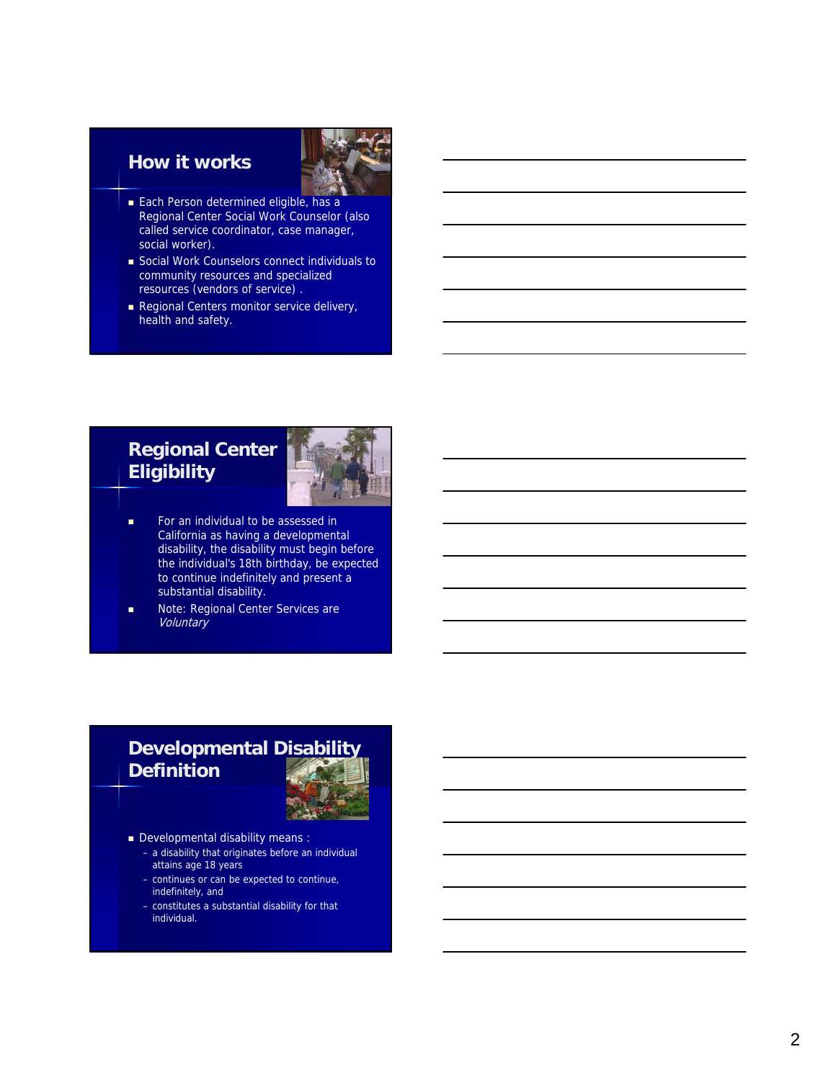#### **How it works**



- Each Person determined eligible, has a Regional Center Social Work Counselor (also called service coordinator, case manager, social worker).
- Social Work Counselors connect individuals to community resources and specialized resources (vendors of service) .
- Regional Centers monitor service delivery, health and safety.

## **Regional Center Eligibility**



- **For an individual to be assessed in** California as having a developmental disability, the disability must begin before the individual's 18th birthday, be expected to continue indefinitely and present a substantial disability.
- Note: Regional Center Services are **Voluntary**

## **Developmental Disability Definition**



- Developmental disability means :
	- a disability that originates before an individual attains age 18 years
	- continues or can be expected to continue, indefinitely, and
	- constitutes a substantial disability for that individual.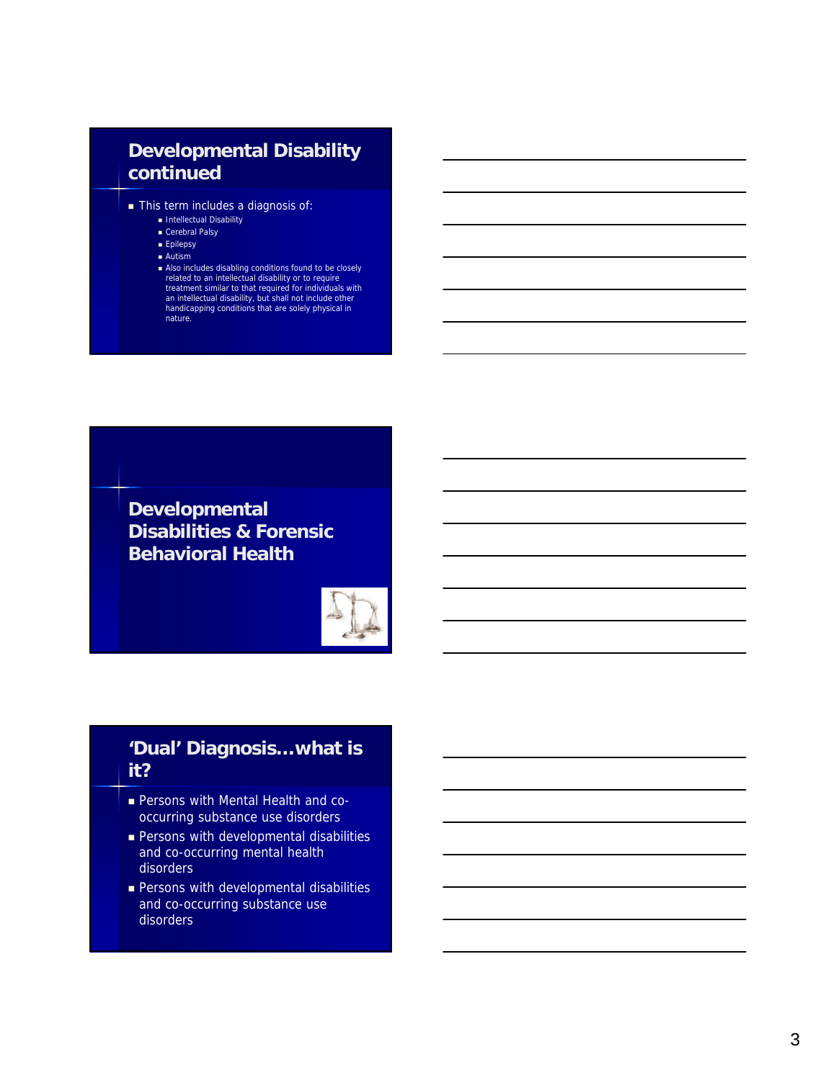## **Developmental Disability continued**

- This term includes a diagnosis of:
	- Intellectual Disability
	- Cerebral Palsy
	- **Epilepsy** Autism
	-
	- Also includes disabling conditions found to be closely<br>related to an intellectual disability or to require<br>treatment similar to that required for individuals with<br>an intellectual disability, but shall not include other<br> nature.

**Developmental Disabilities & Forensic Behavioral Health**



### **'Dual' Diagnosis…what is it?**

- Persons with Mental Health and cooccurring substance use disorders
- **Persons with developmental disabilities** and co-occurring mental health disorders
- **Persons with developmental disabilities** and co-occurring substance use disorders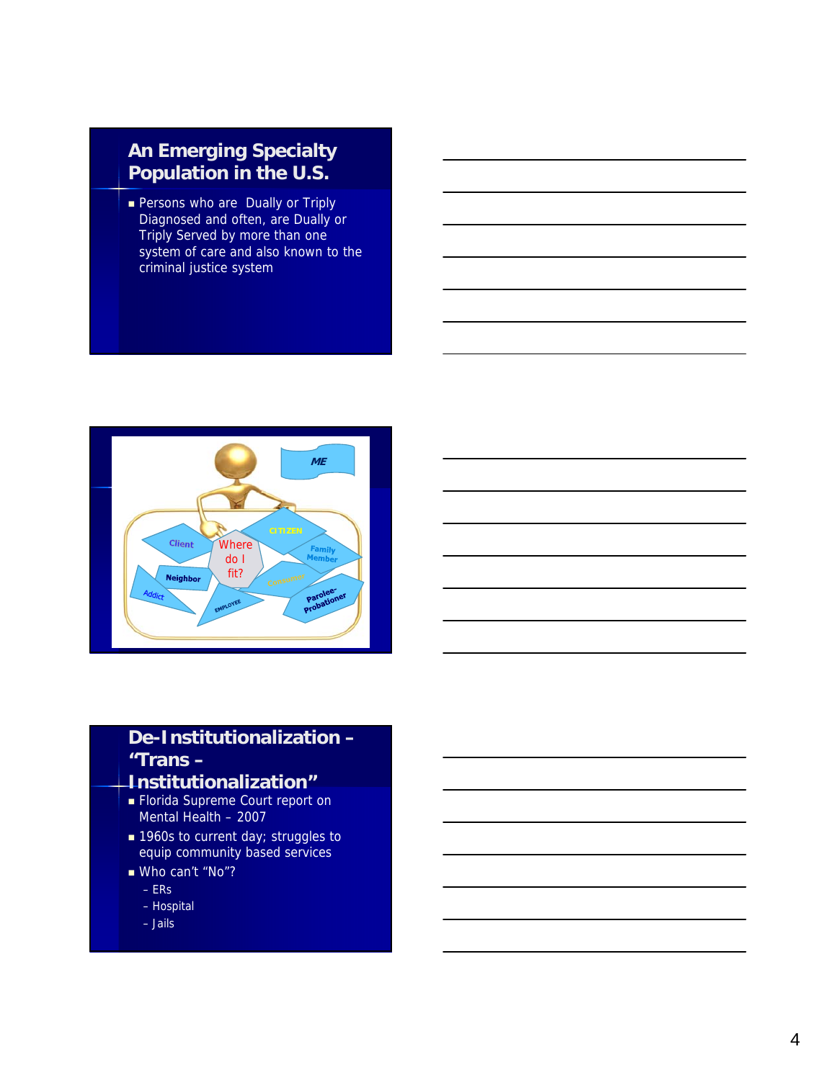## **An Emerging Specialty Population in the U.S.**

**Persons who are Dually or Triply** Diagnosed and often, are Dually or Triply Served by more than one system of care and also known to the criminal justice system



# **De-Institutionalization – "Trans –**

## **Institutionalization"**

- **Florida Supreme Court report on** Mental Health – 2007
- 1960s to current day; struggles to equip community based services
- Who can't "No"?
	- ERs
	- Hospital
	- Jails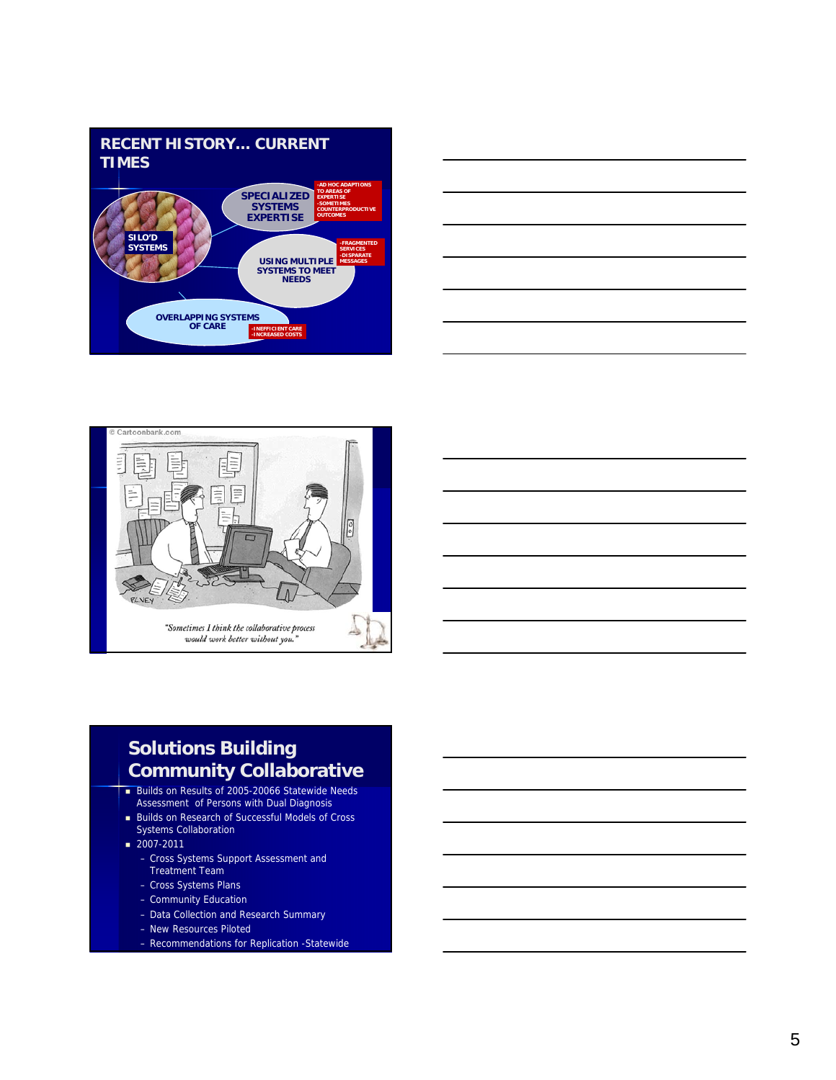





## **Solutions Building Community Collaborative**

- Builds on Results of 2005-20066 Statewide Needs Assessment of Persons with Dual Diagnosis
- **Builds on Research of Successful Models of Cross** Systems Collaboration
- $2007 2011$ 
	- Cross Systems Support Assessment and Treatment Team
	- Cross Systems Plans
	- Community Education
	- Data Collection and Research Summary
	- New Resources Piloted
	- Recommendations for Replication -Statewide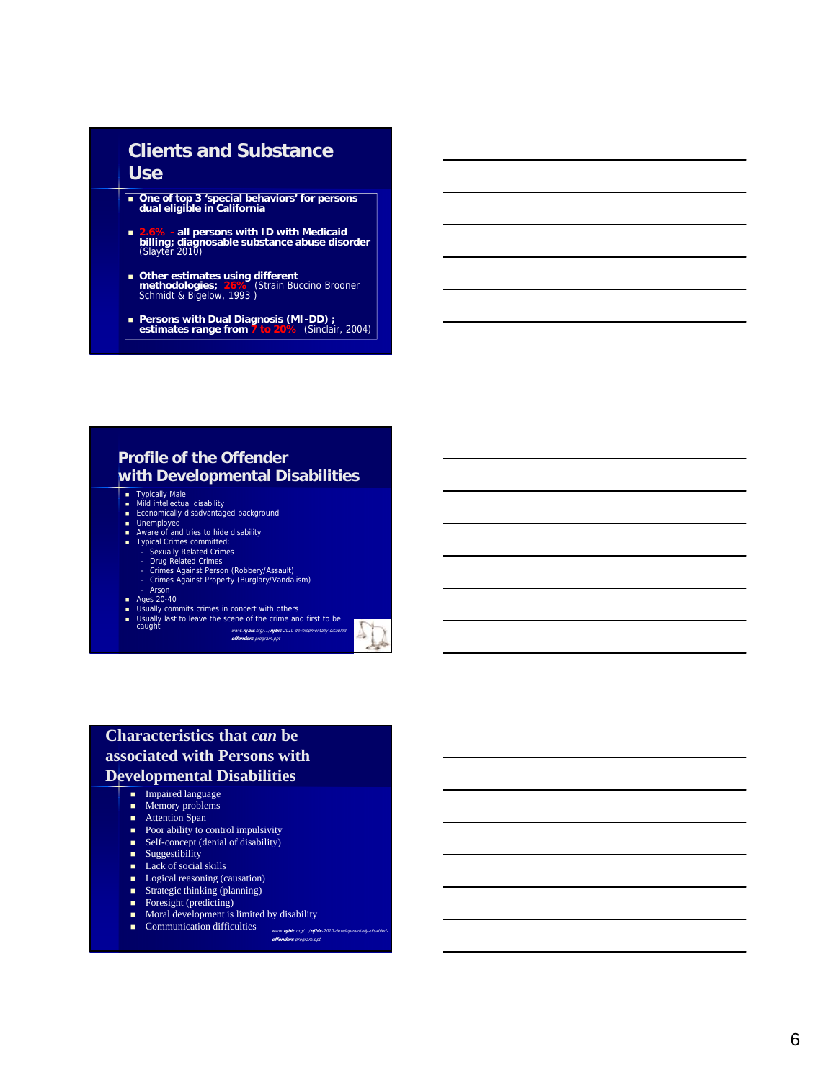#### **Clients and Substance Use**

- **One of top 3 'special behaviors' for persons dual eligible in California**
- **2.6% - all persons with ID with Medicaid billing; diagnosable substance abuse disorder**  (Slayter 2010)
- **Other estimates using different methodologies; 26%** (Strain Buccino Brooner Schmidt & Bigelow, 1993 )
- **Persons with Dual Diagnosis (MI-DD) ; estimates range from 7 to 20%** (Sinclair, 2004)

#### **Profile of the Offender with Developmental Disabilities**

- 
- Typically Male<br>■ Mild intellectual disability<br>■ Economically disadvantaged background<br>■ Unemployed
- 
- Aware of and tries to hide disability
- 
- 
- 
- Typical Crimes committed: Sexually Related Crimes Drug Related Crimes Crimes Against Person (Robbery/Assault) Crimes Against Property (Burglary/Vandalism)
- 
- 
- Arson<br>
 Ages 20-40<br>
 Usually commits crimes in concert with others<br>
 Usually last to leave the scene of the crime and first to be<br>
caught<br>
www.*njbic.org/.../njbic-2010-developmentally-disabled*-<br> *www.njbic.org/...*

**offenders**-program.ppt



#### **Characteristics that** *can* **be associated with Persons with Developmental Disabilities**

- $I$ mpaired language
- $\blacksquare$  Memory problems
- Attention Span
- Poor ability to control impulsivity
- Self-concept (denial of disability)
- **Suggestibility**
- $\blacksquare$  Lack of social skills
- **Logical reasoning (causation)**
- **Strategic thinking (planning)**
- Foresight (predicting)
- **Moral development is limited by disability**
- Communication difficulties www.njbic.org/.../njbi

**offenders**-program.ppt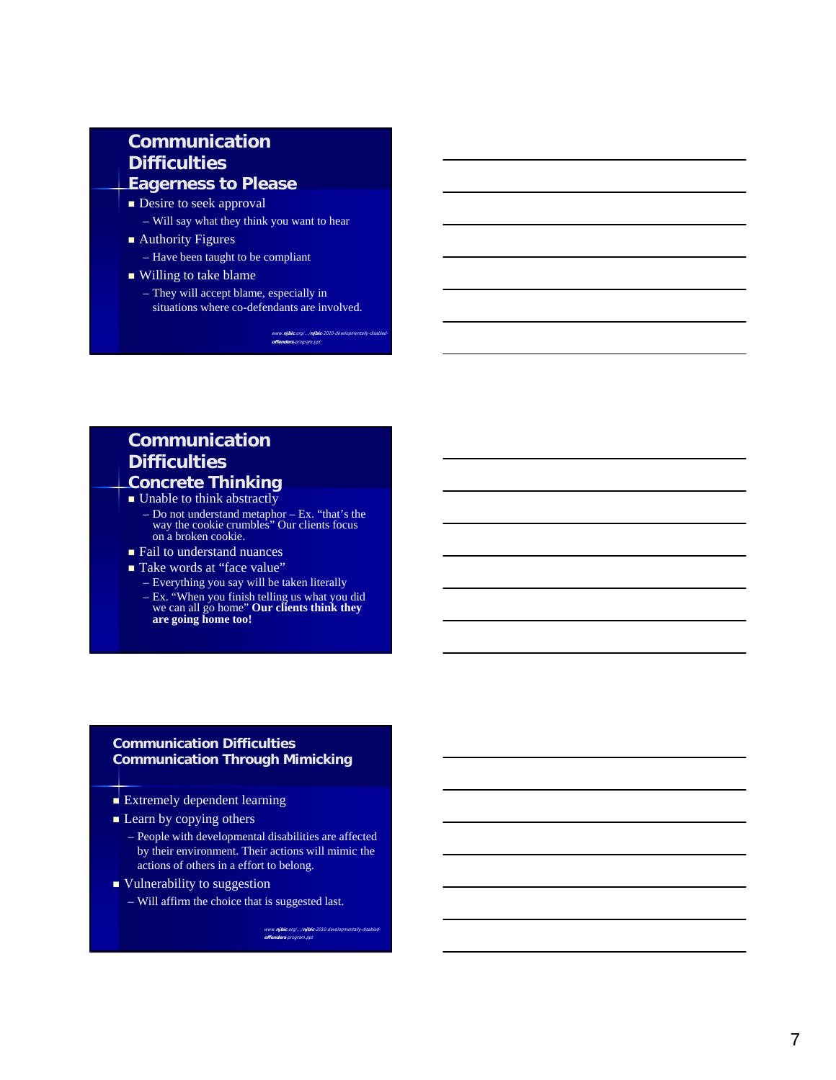#### **Communication Difficulties Eagerness to Please**

- **Desire to seek approval**
- Will say what they think you want to hear
- Authority Figures
	- Have been taught to be compliant
- Willing to take blame
	- They will accept blame, especially in situations where co-defendants are involved.

www.<mark>njbic</mark>.org/.../<mark>njbic</mark>-20 **offenders**-program.ppt

#### **Communication Difficulties Concrete Thinking**

- Unable to think abstractly – Do not understand metaphor – Ex. "that's the way the cookie crumbles" Our clients focus on a broken cookie.
- Fail to understand nuances
- Take words at "face value"
	- Everything you say will be taken literally
	- Ex. "When you finish telling us what you did we can all go home" **Our clients think they are going home too!**

#### **Communication Difficulties Communication Through Mimicking**

- $\blacksquare$  Extremely dependent learning
- $\blacksquare$  Learn by copying others
	- People with developmental disabilities are affected by their environment. Their actions will mimic the actions of others in a effort to belong.
- $\blacksquare$  Vulnerability to suggestion
	- Will affirm the choice that is suggested last.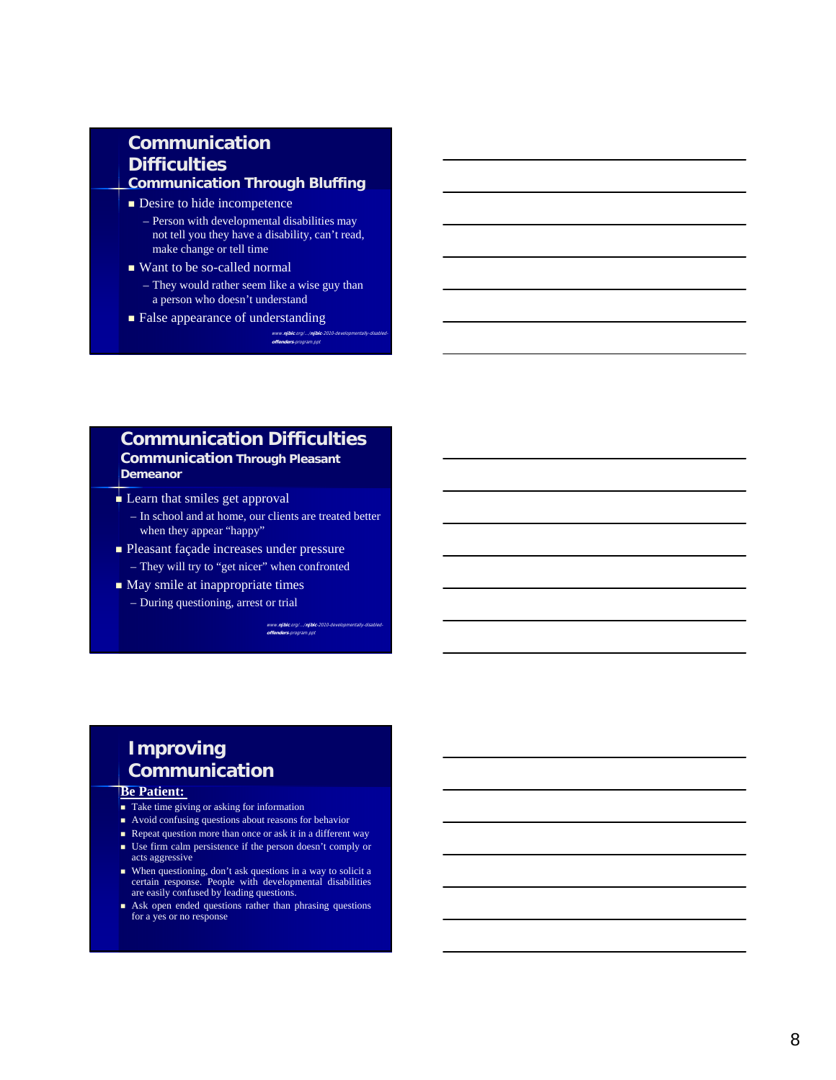#### **Communication Difficulties Communication Through Bluffing**

- **Desire to hide incompetence** 
	- Person with developmental disabilities may not tell you they have a disability, can't read, make change or tell time
- Want to be so-called normal
- They would rather seem like a wise guy than a person who doesn't understand

**offenders**-program.ppt

**False appearance of understanding** www.**njbic**.org/.../**njbic** 

#### **Communication Difficulties**

#### **Communication Through Pleasant Demeanor**

- Learn that smiles get approval
	- In school and at home, our clients are treated better when they appear "happy"
- **Pleasant façade increases under pressure** – They will try to "get nicer" when confronted
- **May smile at inappropriate times** – During questioning, arrest or trial

www.**njbic**.org/.../**njbic**-2010-developmentally-disabled-**offenders**-program.ppt

## **Improving Communication**

#### **Be Patient:**

- Take time giving or asking for information
- Avoid confusing questions about reasons for behavior
- Repeat question more than once or ask it in a different way
- Use firm calm persistence if the person doesn't comply or acts aggressive
- When questioning, don't ask questions in a way to solicit a certain response. People with developmental disabilities are easily confused by leading questions.
- Ask open ended questions rather than phrasing questions for a yes or no response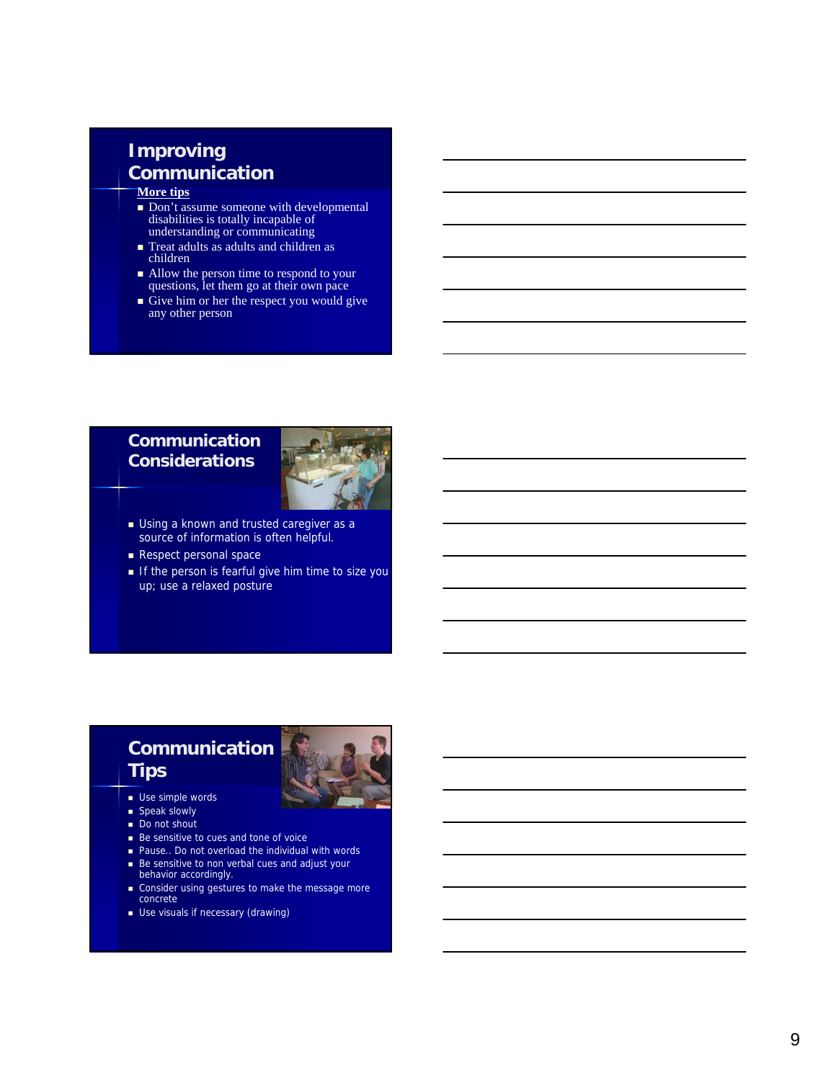# **Improving Communication**

#### **More tips**

- Don't assume someone with developmental disabilities is totally incapable of understanding or communicating
- Treat adults as adults and children as children
- Allow the person time to respond to your questions, let them go at their own pace
- Give him or her the respect you would give any other person

#### **Communication Considerations**



- **Using a known and trusted caregiver as a** source of information is often helpful.
- Respect personal space
- If the person is fearful give him time to size you up; use a relaxed posture

## **Communication Tips**



- **Use simple words**
- $\blacksquare$  Speak slowly
- Do not shout
- Be sensitive to cues and tone of voice
- Pause.. Do not overload the individual with words
- Be sensitive to non verbal cues and adjust your behavior accordingly.
- Consider using gestures to make the message more concrete
- **Use visuals if necessary (drawing)**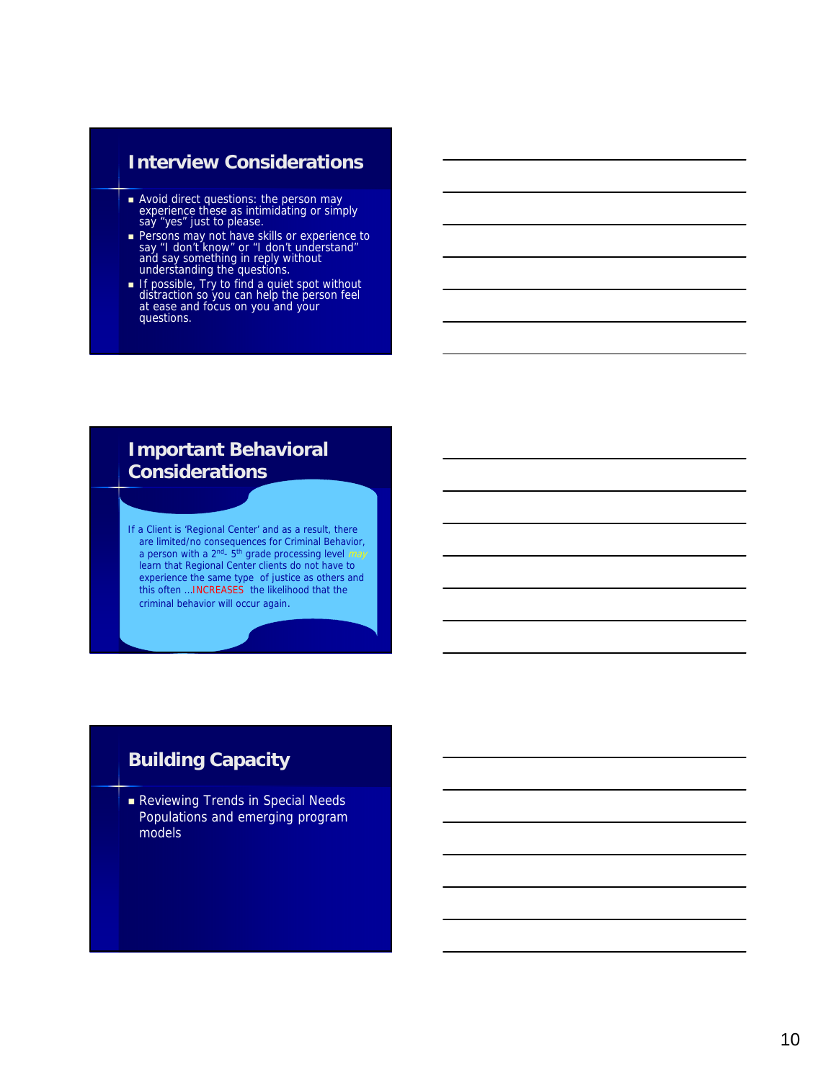## **Interview Considerations**

- **Avoid direct questions: the person may** experience these as intimidating or simply say "yes" just to please.
- **Persons may not have skills or experience to** say "I don't know" or "I don't understand" and say something in reply without understanding the questions.
- If possible, Try to find a quiet spot without distraction so you can help the person feel at ease and focus on you and your questions.

#### **Important Behavioral Considerations**

If a Client is 'Regional Center' and as a result, there are limited/no consequences for Criminal Behavior, a person with a  $2^{nd}$ -  $5^{th}$  grade processing level  $may$ learn that Regional Center clients do not have to experience the same type of justice as others and this often …INCREASES the likelihood that the criminal behavior will occur again.

## **Building Capacity**

Reviewing Trends in Special Needs Populations and emerging program models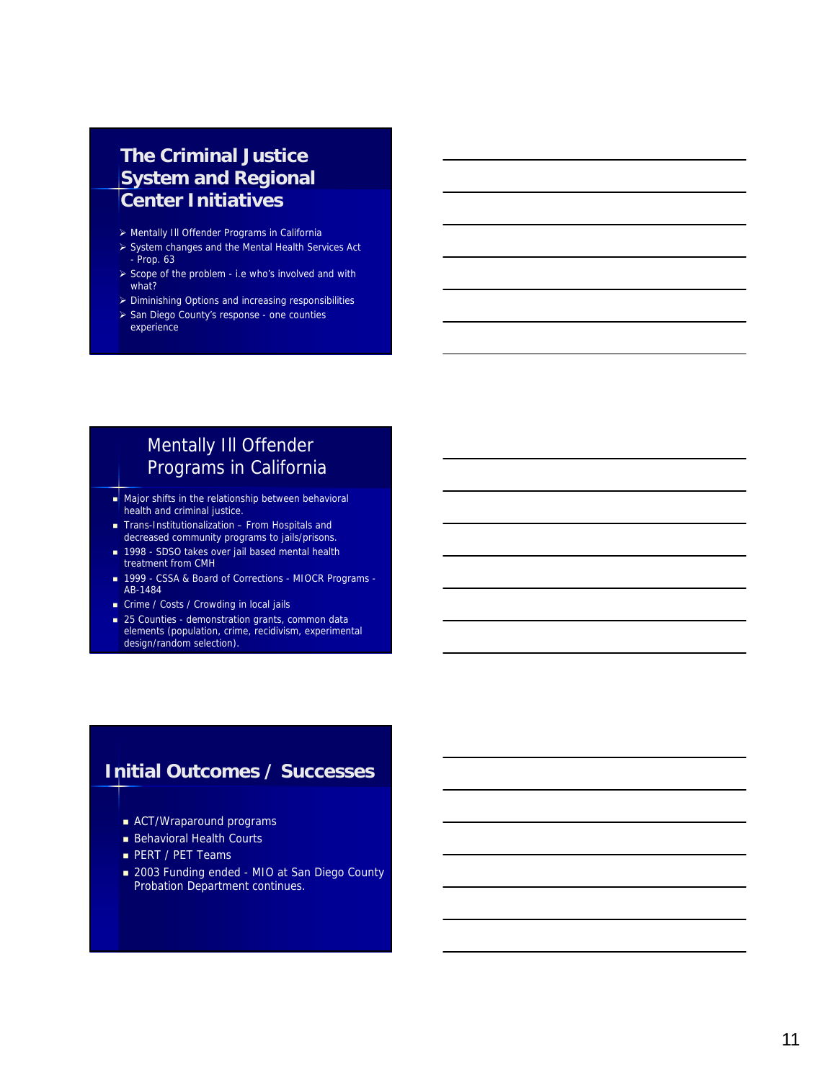#### **The Criminal Justice System and Regional Center Initiatives**

- > Mentally III Offender Programs in California
- System changes and the Mental Health Services Act - Prop. 63
- $\triangleright$  Scope of the problem i.e who's involved and with what?
- Diminishing Options and increasing responsibilities
- > San Diego County's response one counties experience

## Mentally Ill Offender Programs in California

- Major shifts in the relationship between behavioral health and criminal justice.
- Trans-Institutionalization From Hospitals and decreased community programs to jails/prisons.
- 1998 SDSO takes over jail based mental health treatment from CMH
- 1999 CSSA & Board of Corrections MIOCR Programs -AB-1484
- Crime / Costs / Crowding in local jails
- 25 Counties demonstration grants, common data
- elements (population, crime, recidivism, experimental design/random selection).

## **Initial Outcomes / Successes**

- ACT/Wraparound programs
- **Behavioral Health Courts**
- PERT / PET Teams
- 2003 Funding ended MIO at San Diego County Probation Department continues.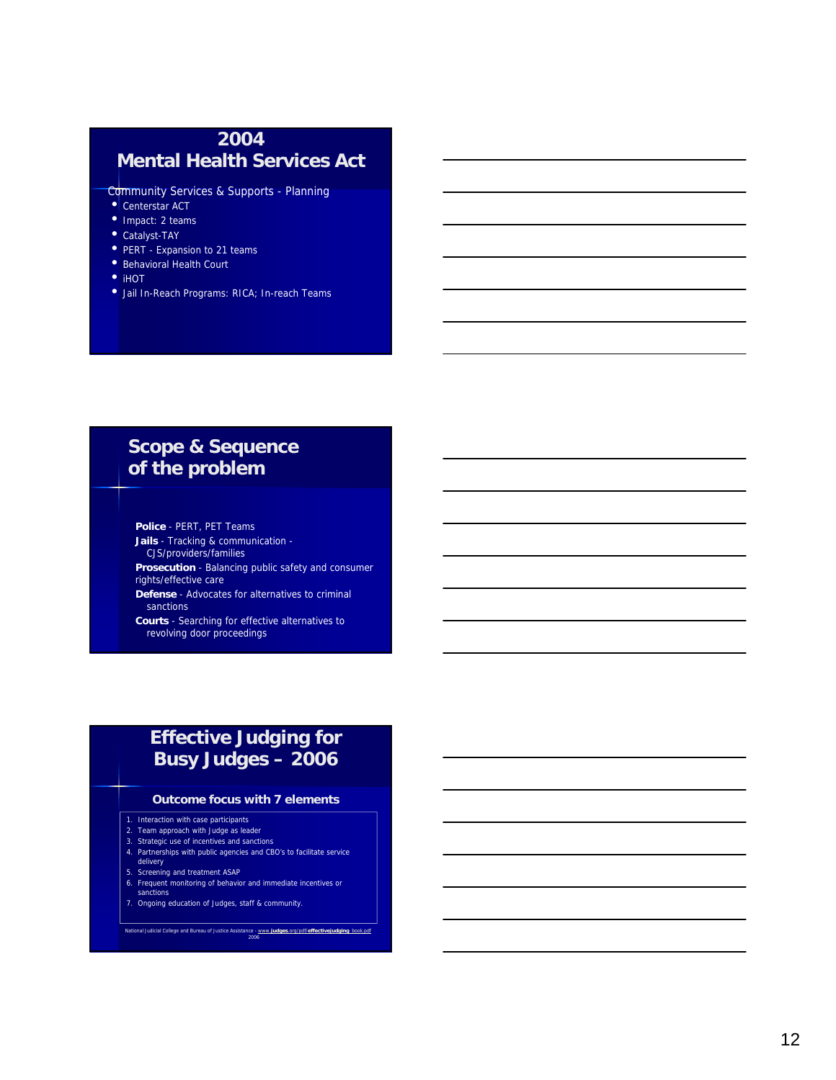### **2004 Mental Health Services Act**

Community Services & Supports - Planning

- Centerstar ACT
- Impact: 2 teams
- Catalyst-TAY
- PERT Expansion to 21 teams
- Behavioral Health Court
- iHOT
- Jail In-Reach Programs: RICA; In-reach Teams

## **Scope & Sequence of the problem**

**Police** - PERT, PET Teams **Jails** - Tracking & communication - CJS/providers/families

**Prosecution** - Balancing public safety and consumer rights/effective care

**Defense** - Advocates for alternatives to criminal sanctions

**Courts** - Searching for effective alternatives to revolving door proceedings

### **Effective Judging for Busy Judges – 2006**

#### **Outcome focus with 7 elements**

- 1. Interaction with case participants
- 2. Team approach with Judge as leader
- 3. Strategic use of incentives and sanctions
- 4. Partnerships with public agencies and CBO's to facilitate service delivery
- 
- 
- 5. Screening and treatment ASAP 6. Frequent monitoring of behavior and immediate incentives or sanctions 7. Ongoing education of Judges, staff & community.

National Judicial College and Bureau of Justice Assistance - www.**judges**.org/pdf/**effectivejudging**\_book.pdf 2006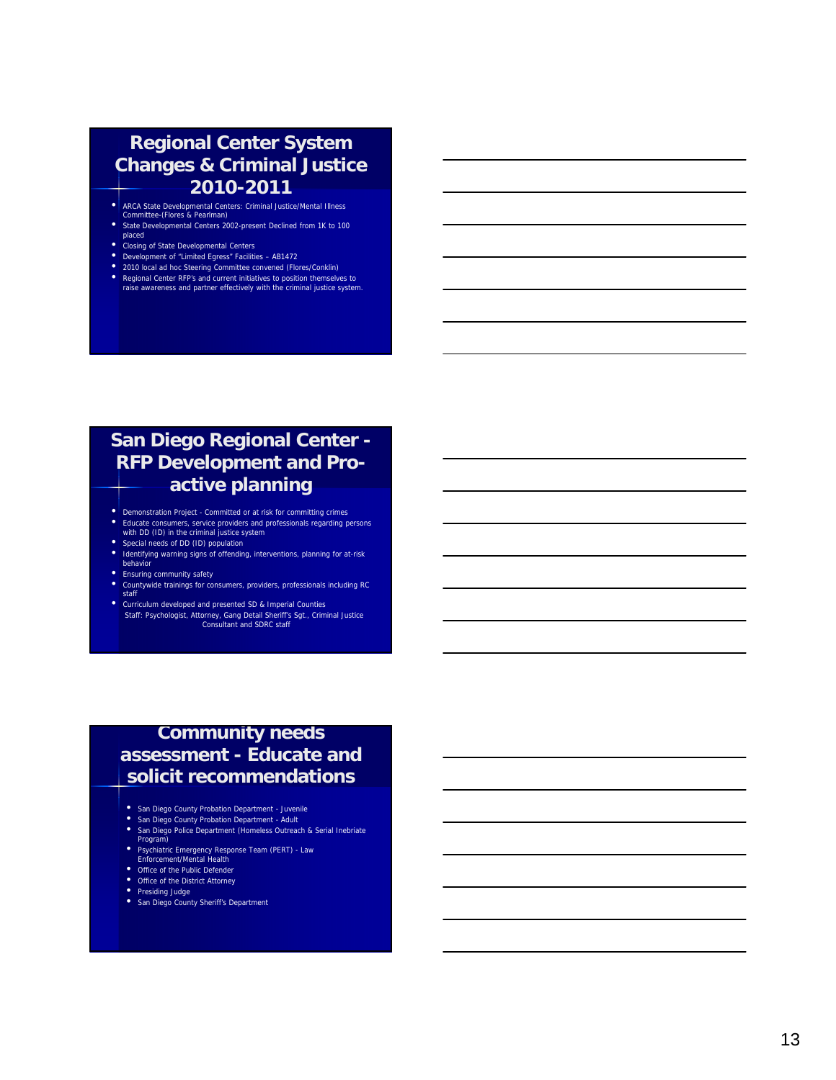#### **Regional Center System Changes & Criminal Justice 2010-2011**

• ARCA State Developmental Centers: Criminal Justice/Mental Illness Committee-(Flores & Pearlman)

- State Developmental Centers 2002-present Declined from 1K to 100
- 
- placed<br>Closing of State Developmental Centers
- 
- 
- Closing of State Developmental Centers<br> **Constant Octom** Chernal Centers<br>
Constant of "Limited Egress" Facilities AB1472<br>
Constant Center RFP's and current initiatives to position themselves to<br>
Regional Center RFP's and

## **San Diego Regional Center - RFP Development and Proactive planning**

- Demonstration Project Committed or at risk for committing crimes Educate consumers, service providers and professionals regarding persons with DD (ID) in the criminal justice system
- 
- Special needs of DD (ID) population<br>• Identifying warning signs of offending, interventions, planning for at-risk behavior
- 
- Ensuring community safety<br>• Countywide trainings for consumers, providers, professionals including RC<br>staff
- Curriculum developed and presented SD & Imperial Counties Staff: Psychologist, Attorney, Gang Detail Sheriff's Sgt., Criminal Justice Consultant and SDRC staff

### **Commun ity needs assessment - Educate and solicit recommendations**

- 
- 
- **•** San Diego County Probation Department Juvenile<br>
 San Diego County Probation Department Adult<br>
 San Diego Police Department (Homeless Outreach & Serial Inebriate<br>
 Psychiatric Emergency Response Team (PERT) Law
- 
- 
- Office of the Public Defender<br>• Office of the District Attorney<br>• Presiding Judge<br>• San Diego County Sheriff's Department
- 
- 
-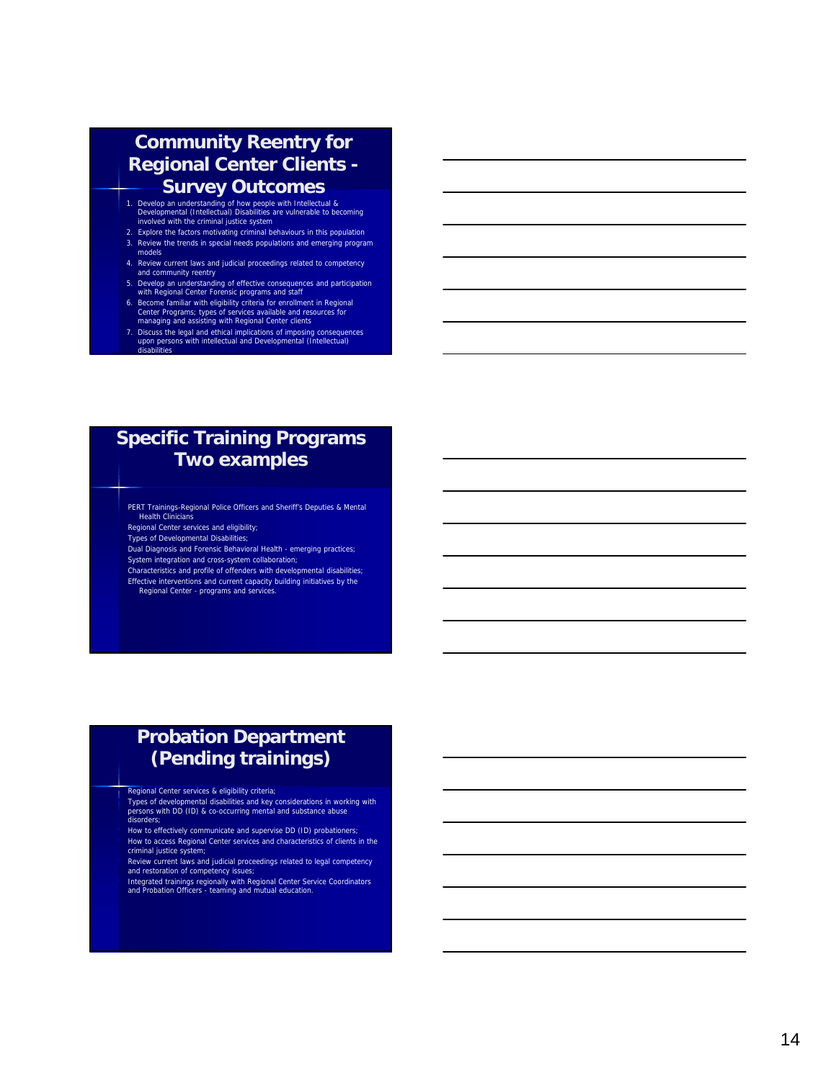#### **Community Reentry for Regional Center Clients - Survey Outcomes**

- 1. Develop an understanding of how people with Intellectual & Developmental (Intellectual) Disabilities are vulnerable to becoming involved with the criminal justice system
- 2. Explore the factors motivating criminal behaviours in this population
- 3. Review the trends in special needs populations and emerging program models
- 4. Review current laws and judicial proceedings related to competency and community reentry
- 5. Develop an understanding of effective consequences and participation with Regional Center Forensic programs and staff
- 
- 6. Become familiar with eligibility criteria for enrollment in Regional<br>
Center Programs; types of services available and resources for<br>
managing and assisting with Regional Center clients<br>
7. Discuss the legal and ethical

## **Specific Training Programs Two examples**

PERT Trainings-Regional Police Officers and Sheriff's Deputies & Mental **Health Clinicians** 

Regional Center services and eligibility;

Types of Developmental Disabilities;

Dual Diagnosis and Forensic Behavioral Health - emerging practices; System integration and cross-system collaboration;

Characteristics and profile of offenders with developmental disabilities; Effective interventions and current capacity building initiatives by the Regional Center - programs and services.

## **Probation Department (Pending trainings)**

**FREGION CENTE SET ALCONSTRESS AS EXECUTE ARE EXECUTE:**<br>Types of developmental disabilities and key considerations in working with<br>persons with DD (ID) & co-occurring mental and substance abuse<br>disorders;

• How to effectively communicate and supervise DD (ID) probationers; • How to access Regional Center services and characteristics of clients in the criminal justice system;

• Review current laws and judicial proceedings related to legal competency and restoration of competency issues;

Integrated trainings regionally with Regional Center Service Coordinators<br>and Probation Officers - teaming and mutual education.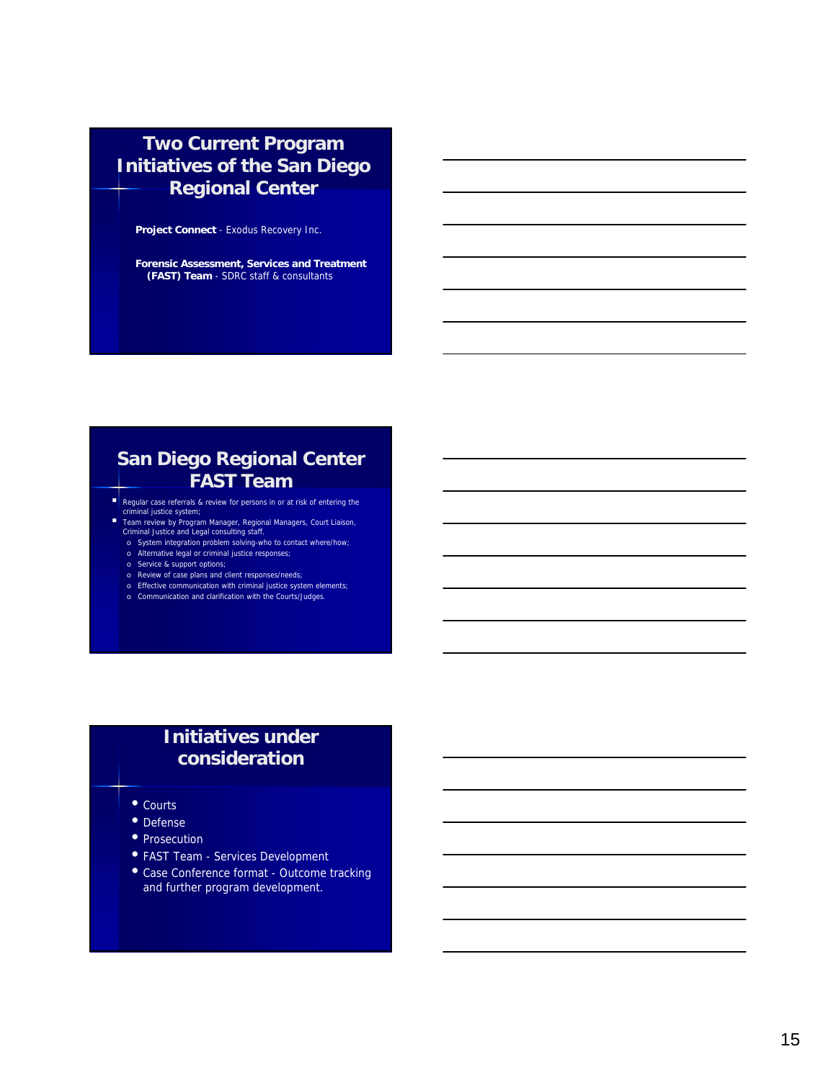## **Two Current Program Initiatives of the San Diego Regional Center**

**Project Connect** - Exodus Recovery Inc.

**Forensic Assessment, Services and Treatment (FAST) Team** - SDRC staff & consultants

## **San Diego Regional Center FAST Team**

- **Regular case referrals & review for persons in or at risk of entering the criminal justice system**;
- Team review by Program Manager, Regional Managers, Court Liaison, Criminal Justice and Legal consulting staff.
	- o System integration problem solving-who to contact where/how;
	- o Alternative legal or criminal justice responses; o Service & support options;
	- o Review of case plans and client responses/needs;
	- o Effective communication with criminal justice system elements;
	- o Communication and clarification with the Courts/Judges.

#### **Initiatives under consideration**

- Courts
- Defense
- Prosecution
- FAST Team Services Development
- Case Conference format Outcome tracking and further program development.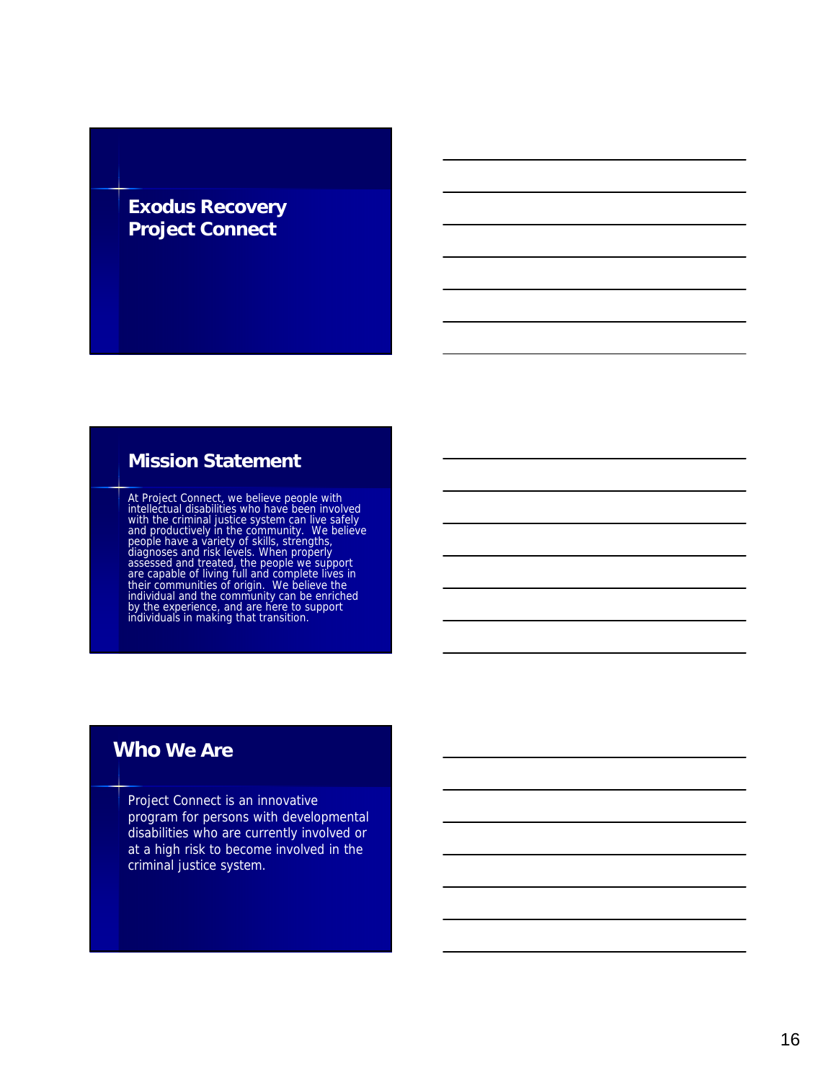## **Exodus Recovery Project Connect**

### **Mission Statement**

At Project Connect, we believe people with<br>intellectual disabilities who have been involved<br>with the criminal justice system can live safely<br>and productively in the community. We believe<br>people have a variety of skills, st

#### **Who We Are**

Project Connect is an innovative program for persons with developmental disabilities who are currently involved or at a high risk to become involved in the criminal justice system.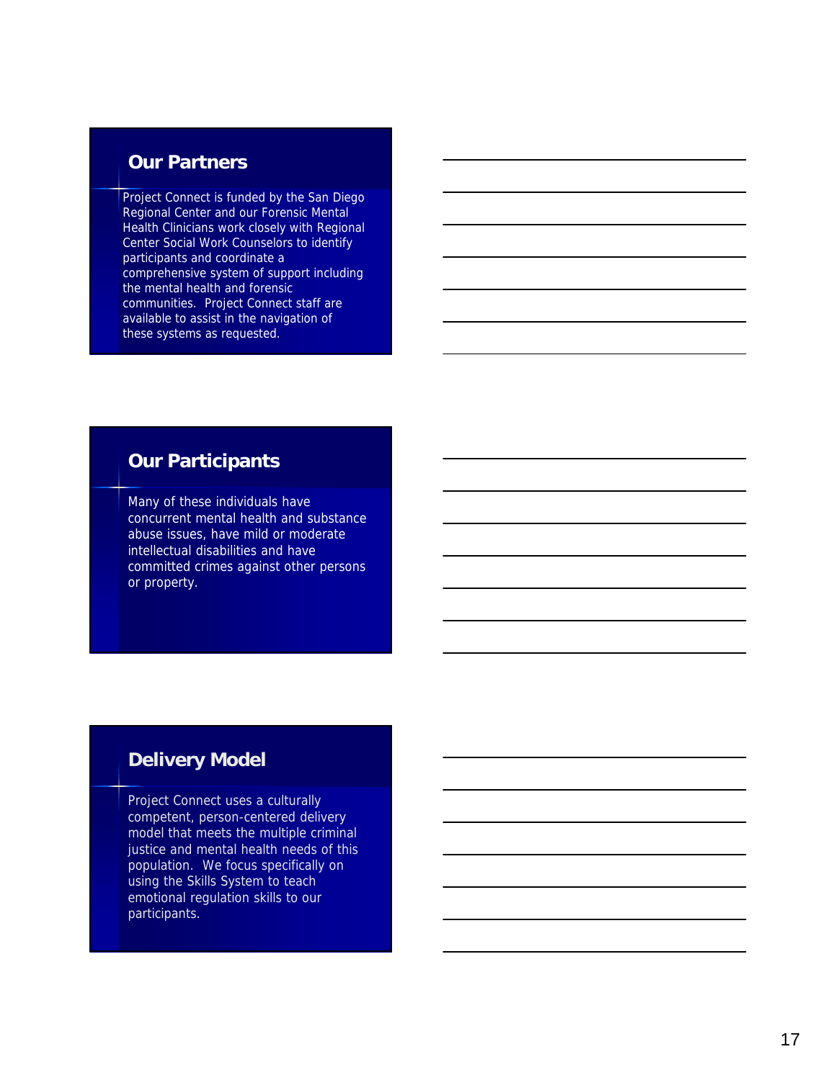### **Our Partners**

Project Connect is funded by the San Diego Regional Center and our Forensic Mental Health Clinicians work closely with Regional Center Social Work Counselors to identify participants and coordinate a comprehensive system of support including the mental health and forensic communities. Project Connect staff are available to assist in the navigation of these systems as requested.

#### **Our Participants**

Many of these individuals have concurrent mental health and substance abuse issues, have mild or moderate intellectual disabilities and have committed crimes against other persons or property.

## **Delivery Model**

Project Connect uses a culturally competent, person-centered delivery model that meets the multiple criminal justice and mental health needs of this population. We focus specifically on using the Skills System to teach emotional regulation skills to our participants.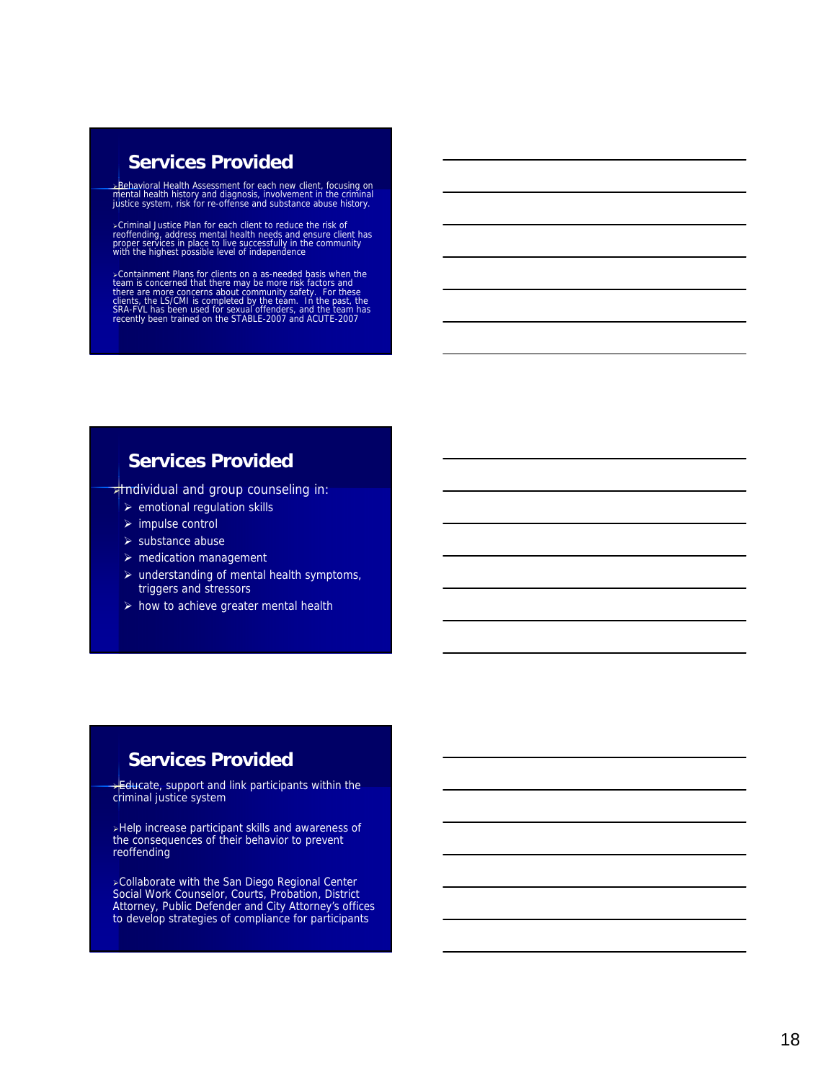#### **Services Provided**

<mark>⊾Behavioral Health Assessment for each new client, focusing on</mark><br>mental health history and diagnosis, involvement in the criminal<br>justice system, risk for re-offense and substance abuse history.

>Criminal Justice Plan for each client to reduce the risk of<br>reoffending, address mental health needs and ensure client has<br>proper services in place to live successfully in the community<br>with the highest possible level of

>Containment Plans for clients on a as-needed basis when the<br>team is concerned that there may be more risk factors and<br>there are more concerns about community safety. For these<br>clients, the LS/CMI is completed by the team.

#### **Services Provided**

**xthractividual and group counseling in:** 

- $\triangleright$  emotional regulation skills
- $\triangleright$  impulse control
- $\triangleright$  substance abuse
- $\triangleright$  medication management
- $\triangleright$  understanding of mental health symptoms, triggers and stressors
- $\triangleright$  how to achieve greater mental health

#### **Services Provided**

**Educate, support and link participants within the** criminal justice system

Help increase participant skills and awareness of the consequences of their behavior to prevent reoffending

**>Collaborate with the San Diego Regional Center** Social Work Counselor, Courts, Probation, District Attorney, Public Defender and City Attorney's offices to develop strategies of compliance for participants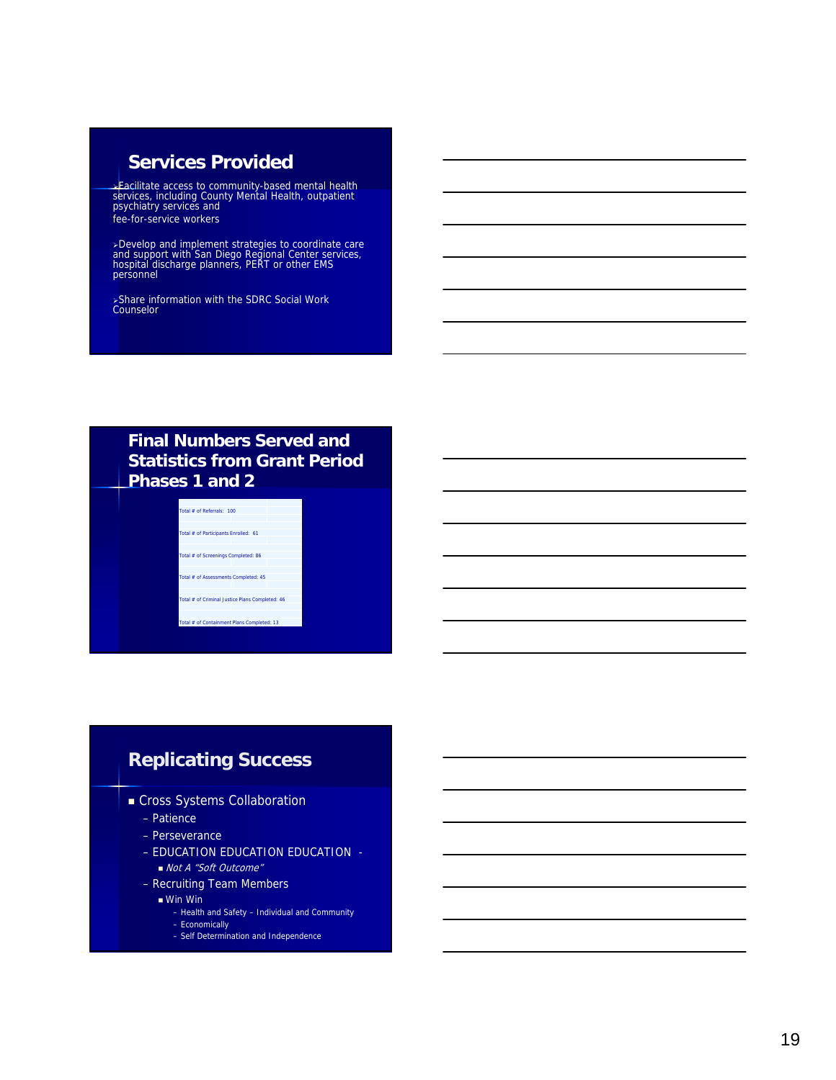### **Services Provided**

Facilitate access to community-based mental health services, including County Mental Health, outpatient psychiatry services and fee-for-service workers

≻Develop and implement strategies to coordinate care<br>and support with San Diego Regional Center services,<br>hospital discharge planners, PERT or other EMS<br>personnel

Share information with the SDRC Social Work Counselor

#### **Final Numbers Served and Statistics from Grant Period Phases 1 and 2**

Total # of Referrals: 100 tal # of Participants Enrolled: 61 Total # of Screenings Completed: 86 Total # of Assessments Completed: 45 Total # of Criminal Justice Plans Completed: 46 toral Management Plans Complete

# **Replicating Success**

- **Cross Systems Collaboration** 
	- Patience
	- Perseverance
	- EDUCATION EDUCATION EDUCATION ■ Not A "Soft Outcome"
	- Recruiting Team Members
		- Win Win
			-
			- Health and Safety Individual and Community – Economically
			- Self Determination and Independence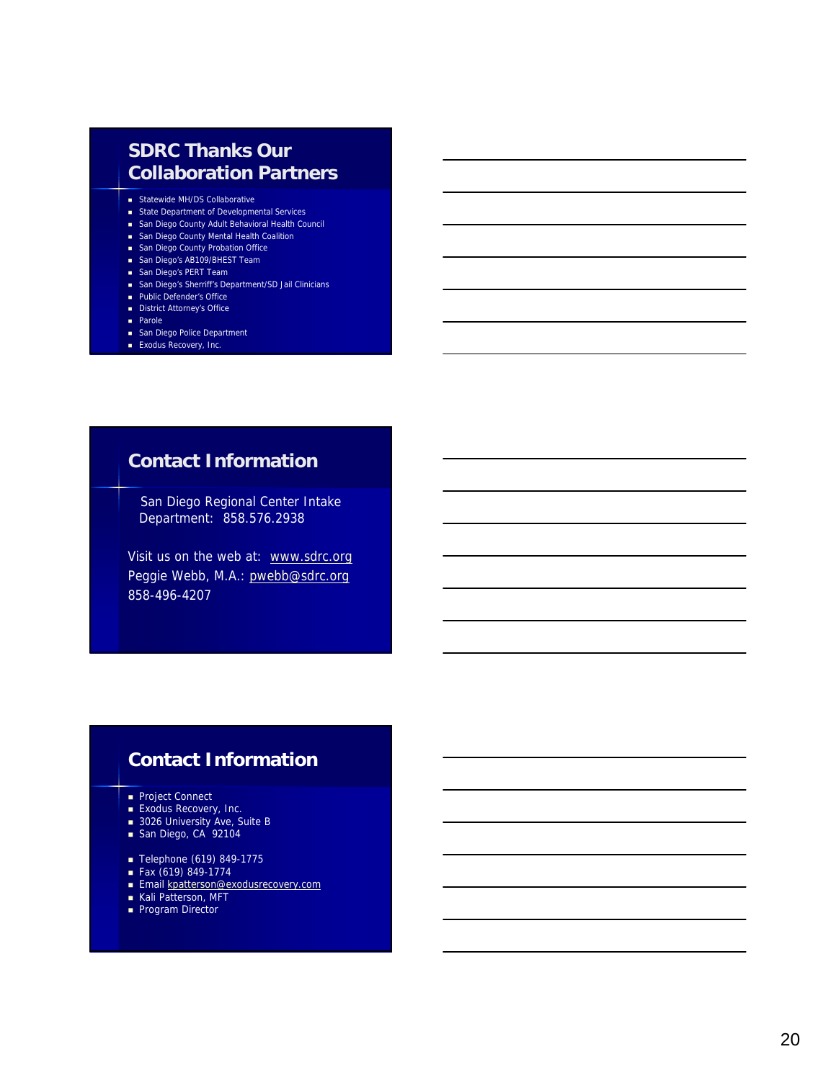## **SDRC Thanks Our Collaboration Partners**

- Statewide MH/DS Collaborative
- **State Department of Developmental Services**
- San Diego County Adult Behavioral Health Council
- **San Diego County Mental Health Coalition**
- **B** San Diego County Probation Office
- San Diego's AB109/BHEST Team
- **San Diego's PERT Team**
- San Diego's Sherriff's Department/SD Jail Clinicians
- Public Defender's Office
- **District Attorney's Office**
- **Parole**
- San Diego Police Department
- **Exodus Recovery, Inc.**

## **Contact Information**

San Diego Regional Center Intake Department: 858.576.2938

Visit us on the web at: www.sdrc.org Peggie Webb, M.A.: pwebb@sdrc.org 858-496-4207

## **Contact Information**

- Project Connect
- **Exodus Recovery, Inc.**
- 3026 University Ave, Suite B
- San Diego, CA 92104
- Telephone (619) 849-1775
- $\blacksquare$  Fax (619) 849-1774
- 
- **Email kpatterson@exodusrecovery.com**
- **Kali Patterson, MFT**
- Program Director